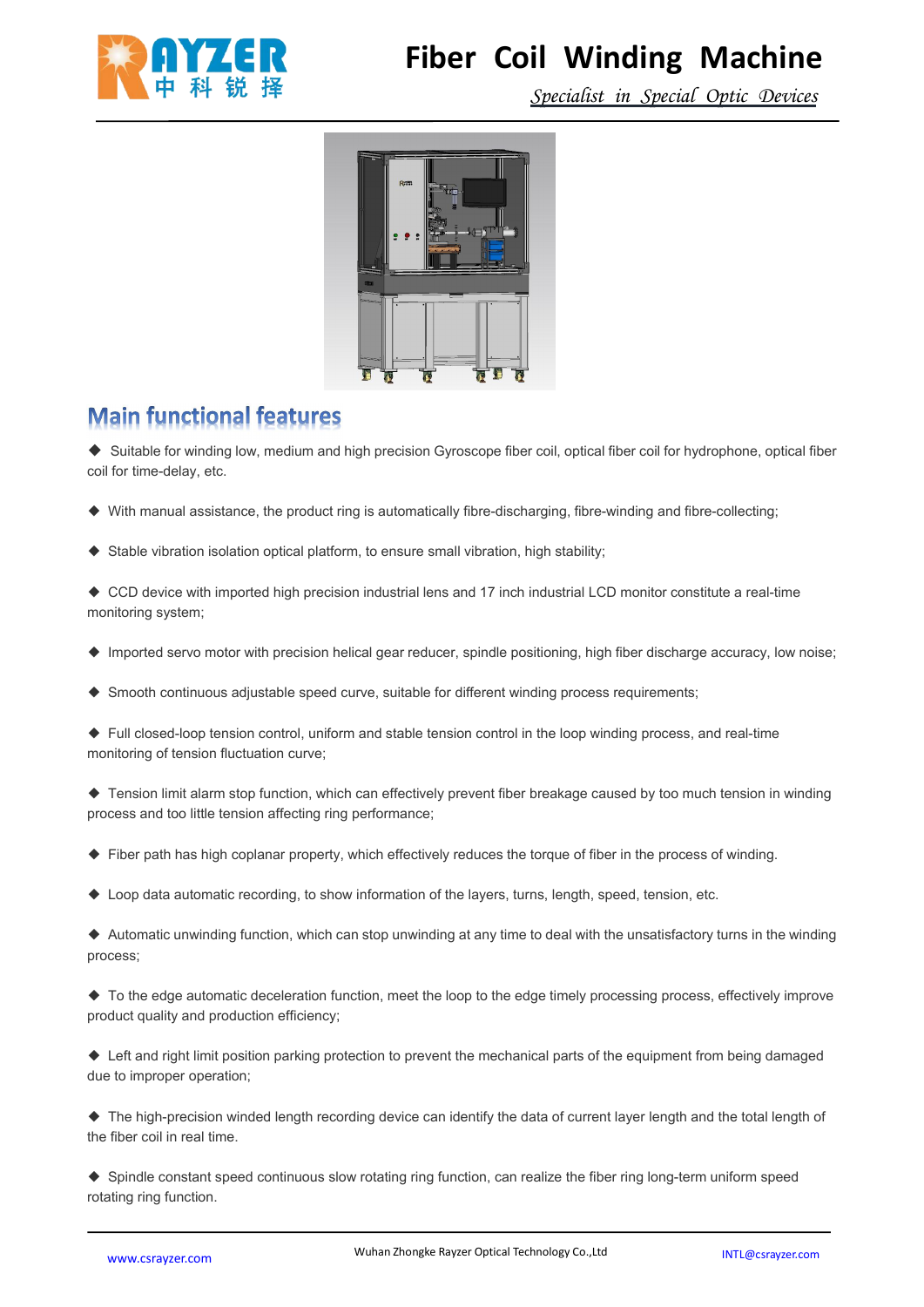

### **Fiber Coil Winding Machine**

*Specialist in Special Optic Devices*



#### **Main functional features**

◆ Suitable for winding low, medium and high precision Gyroscope fiber coil, optical fiber coil for hydrophone, optical fiber coil for time-delay, etc.

- ◆ With manual assistance, the product ring is automatically fibre-discharging, fibre-winding and fibre-collecting;
- ◆ Stable vibration isolation optical platform, to ensure small vibration, high stability;

◆ CCD device with imported high precision industrial lens and 17 inch industrial LCD monitor constitute a real-time monitoring system;

- ◆ Imported servo motor with precision helical gear reducer, spindle positioning, high fiber discharge accuracy, low noise;
- ◆ Smooth continuous adjustable speed curve, suitable for different winding process requirements;

◆ Full closed-loop tension control, uniform and stable tension control in the loop winding process, and real-time monitoring of tension fluctuation curve;

◆ Tension limit alarm stop function, which can effectively prevent fiber breakage caused by too much tension in winding process and too little tension affecting ring performance;

- ◆ Fiber path has high coplanar property, which effectively reduces the torque of fiber in the process of winding.
- ◆ Loop data automatic recording, to show information of the layers, turns, length, speed, tension, etc.

◆ Automatic unwinding function, which can stop unwinding at any time to deal with the unsatisfactory turns in the winding process;

◆ To the edge automatic deceleration function, meet the loop to the edge timely processing process, effectively improve product quality and production efficiency;

◆ Left and right limit position parking protection to prevent the mechanical parts of the equipment from being damaged due to improper operation;

◆ The high-precision winded length recording device can identify the data of current layer length and the total length of the fiber coil in real time.

◆ Spindle constant speed continuous slow rotating ring function, can realize the fiber ring long-term uniform speed rotating ring function.